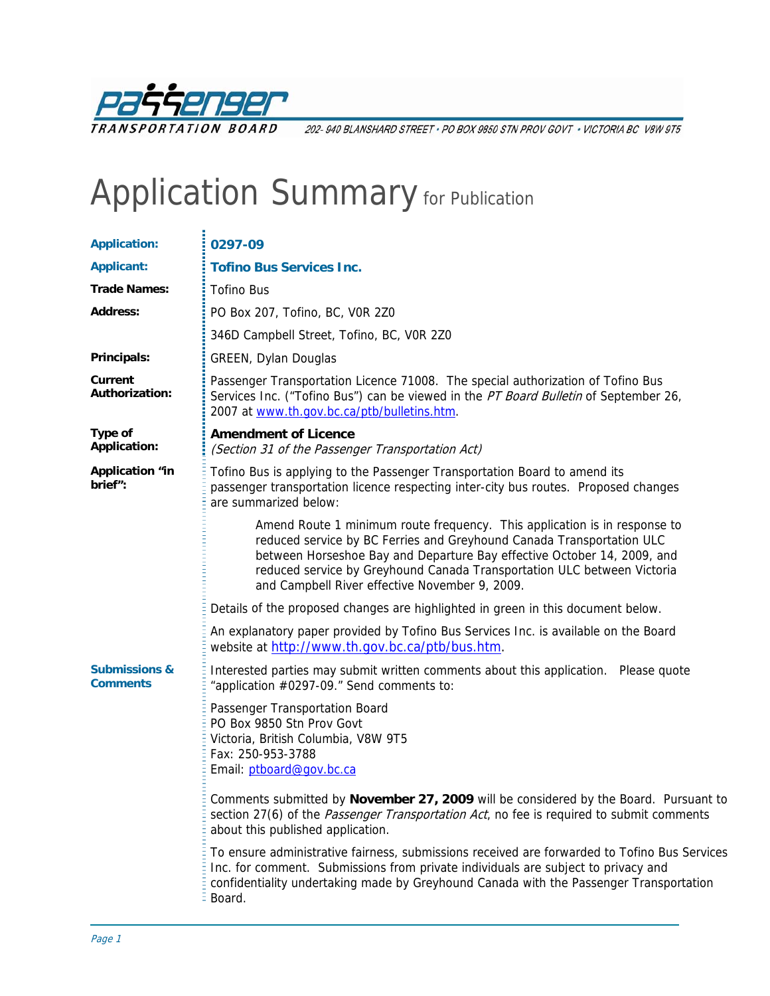

202-940 BLANSHARD STREET · PO BOX 9850 STN PROV GOVT · VICTORIA BC V8W 9T5

## Application Summary for Publication

| <b>Application:</b>                         | 0297-09                                                                                                                                                                                                                                                                                                                                                    |  |  |
|---------------------------------------------|------------------------------------------------------------------------------------------------------------------------------------------------------------------------------------------------------------------------------------------------------------------------------------------------------------------------------------------------------------|--|--|
| <b>Applicant:</b>                           | <b>Tofino Bus Services Inc.</b>                                                                                                                                                                                                                                                                                                                            |  |  |
| <b>Trade Names:</b>                         | <b>Tofino Bus</b>                                                                                                                                                                                                                                                                                                                                          |  |  |
| <b>Address:</b>                             | PO Box 207, Tofino, BC, VOR 2Z0                                                                                                                                                                                                                                                                                                                            |  |  |
|                                             | 346D Campbell Street, Tofino, BC, VOR 2Z0                                                                                                                                                                                                                                                                                                                  |  |  |
| Principals:                                 | <b>GREEN, Dylan Douglas</b>                                                                                                                                                                                                                                                                                                                                |  |  |
| Current<br><b>Authorization:</b>            | Passenger Transportation Licence 71008. The special authorization of Tofino Bus<br>Services Inc. ("Tofino Bus") can be viewed in the PT Board Bulletin of September 26,<br>2007 at www.th.gov.bc.ca/ptb/bulletins.htm.                                                                                                                                     |  |  |
| Type of<br><b>Application:</b>              | <b>Amendment of Licence</b><br>(Section 31 of the Passenger Transportation Act)                                                                                                                                                                                                                                                                            |  |  |
| <b>Application "in</b><br>brief":           | Tofino Bus is applying to the Passenger Transportation Board to amend its<br>passenger transportation licence respecting inter-city bus routes. Proposed changes<br>are summarized below:                                                                                                                                                                  |  |  |
|                                             | Amend Route 1 minimum route frequency. This application is in response to<br>reduced service by BC Ferries and Greyhound Canada Transportation ULC<br>between Horseshoe Bay and Departure Bay effective October 14, 2009, and<br>reduced service by Greyhound Canada Transportation ULC between Victoria<br>and Campbell River effective November 9, 2009. |  |  |
|                                             | Details of the proposed changes are highlighted in green in this document below.                                                                                                                                                                                                                                                                           |  |  |
|                                             | An explanatory paper provided by Tofino Bus Services Inc. is available on the Board<br>website at http://www.th.gov.bc.ca/ptb/bus.htm.                                                                                                                                                                                                                     |  |  |
| <b>Submissions &amp;</b><br><b>Comments</b> | Interested parties may submit written comments about this application. Please quote<br>"application #0297-09." Send comments to:                                                                                                                                                                                                                           |  |  |
|                                             | Passenger Transportation Board<br>PO Box 9850 Stn Prov Govt<br>Victoria, British Columbia, V8W 9T5<br>Fax: 250-953-3788<br>Email: ptboard@gov.bc.ca                                                                                                                                                                                                        |  |  |
|                                             | Comments submitted by November 27, 2009 will be considered by the Board. Pursuant to<br>section 27(6) of the <i>Passenger Transportation Act</i> , no fee is required to submit comments<br>about this published application.                                                                                                                              |  |  |
|                                             | To ensure administrative fairness, submissions received are forwarded to Tofino Bus Services<br>Inc. for comment. Submissions from private individuals are subject to privacy and<br>confidentiality undertaking made by Greyhound Canada with the Passenger Transportation<br>Board.                                                                      |  |  |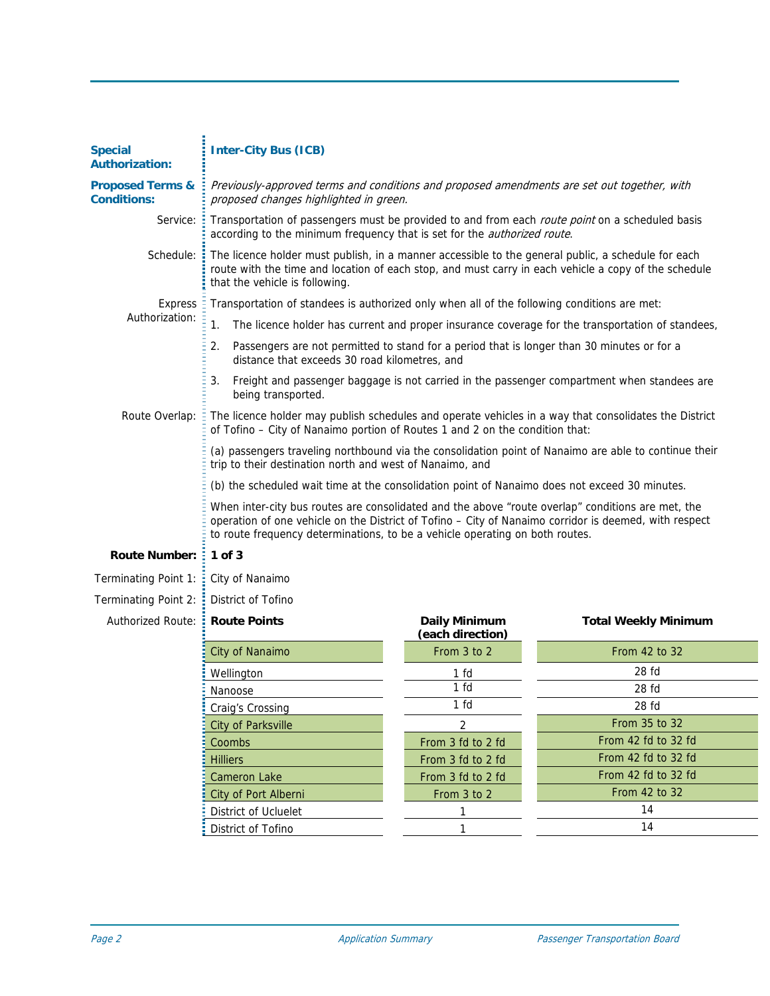| <b>Special</b><br><b>Authorization:</b>           | <b>Inter-City Bus (ICB)</b>                                                                                                                                                                                                                                                                |                                   |                             |  |
|---------------------------------------------------|--------------------------------------------------------------------------------------------------------------------------------------------------------------------------------------------------------------------------------------------------------------------------------------------|-----------------------------------|-----------------------------|--|
| <b>Proposed Terms &amp;</b><br><b>Conditions:</b> | Previously-approved terms and conditions and proposed amendments are set out together, with<br>proposed changes highlighted in green.                                                                                                                                                      |                                   |                             |  |
| Service:                                          | Transportation of passengers must be provided to and from each route point on a scheduled basis<br>÷<br>according to the minimum frequency that is set for the <i>authorized route</i> .                                                                                                   |                                   |                             |  |
| Schedule:                                         | The licence holder must publish, in a manner accessible to the general public, a schedule for each<br>route with the time and location of each stop, and must carry in each vehicle a copy of the schedule<br>that the vehicle is following.                                               |                                   |                             |  |
| <b>Express</b><br>Authorization:                  | Transportation of standees is authorized only when all of the following conditions are met:                                                                                                                                                                                                |                                   |                             |  |
|                                                   | 1.<br>The licence holder has current and proper insurance coverage for the transportation of standees,                                                                                                                                                                                     |                                   |                             |  |
|                                                   | Passengers are not permitted to stand for a period that is longer than 30 minutes or for a<br>2.<br>distance that exceeds 30 road kilometres, and                                                                                                                                          |                                   |                             |  |
|                                                   | 3.<br>Freight and passenger baggage is not carried in the passenger compartment when standees are<br>being transported.                                                                                                                                                                    |                                   |                             |  |
| Route Overlap:                                    | The licence holder may publish schedules and operate vehicles in a way that consolidates the District<br>of Tofino - City of Nanaimo portion of Routes 1 and 2 on the condition that:                                                                                                      |                                   |                             |  |
|                                                   | (a) passengers traveling northbound via the consolidation point of Nanaimo are able to continue their<br>trip to their destination north and west of Nanaimo, and                                                                                                                          |                                   |                             |  |
|                                                   | (b) the scheduled wait time at the consolidation point of Nanaimo does not exceed 30 minutes.                                                                                                                                                                                              |                                   |                             |  |
|                                                   | When inter-city bus routes are consolidated and the above "route overlap" conditions are met, the<br>operation of one vehicle on the District of Tofino - City of Nanaimo corridor is deemed, with respect<br>to route frequency determinations, to be a vehicle operating on both routes. |                                   |                             |  |
| <b>Route Number:</b>                              | $1$ of $3$                                                                                                                                                                                                                                                                                 |                                   |                             |  |
| Terminating Point 1:                              | City of Nanaimo                                                                                                                                                                                                                                                                            |                                   |                             |  |
| Terminating Point 2:                              | District of Tofino                                                                                                                                                                                                                                                                         |                                   |                             |  |
| <b>Authorized Route:</b>                          | <b>Route Points</b><br>÷.                                                                                                                                                                                                                                                                  | Daily Minimum<br>(each direction) | <b>Total Weekly Minimum</b> |  |
|                                                   | City of Nanaimo                                                                                                                                                                                                                                                                            | From 3 to 2                       | From 42 to 32               |  |
|                                                   | Wellington                                                                                                                                                                                                                                                                                 | 1 fd                              | 28 fd                       |  |
|                                                   | Nanoose                                                                                                                                                                                                                                                                                    | 1 fd                              | 28 fd                       |  |
|                                                   | Craig's Crossing                                                                                                                                                                                                                                                                           | 1 fd                              | 28 fd                       |  |
|                                                   | <b>City of Parksville</b>                                                                                                                                                                                                                                                                  | $\overline{2}$                    | From 35 to 32               |  |
|                                                   | Coombs                                                                                                                                                                                                                                                                                     | From 3 fd to 2 fd                 | From 42 fd to 32 fd         |  |
|                                                   | <b>Hilliers</b>                                                                                                                                                                                                                                                                            | From 3 fd to 2 fd                 | From 42 fd to 32 fd         |  |
|                                                   | <b>Cameron Lake</b>                                                                                                                                                                                                                                                                        | From 3 fd to 2 fd                 | From 42 fd to 32 fd         |  |
|                                                   | City of Port Alberni                                                                                                                                                                                                                                                                       | From 3 to 2                       | From 42 to 32               |  |
|                                                   | District of Ucluelet                                                                                                                                                                                                                                                                       | 1                                 | 14                          |  |
|                                                   | District of Tofino                                                                                                                                                                                                                                                                         |                                   | 14                          |  |